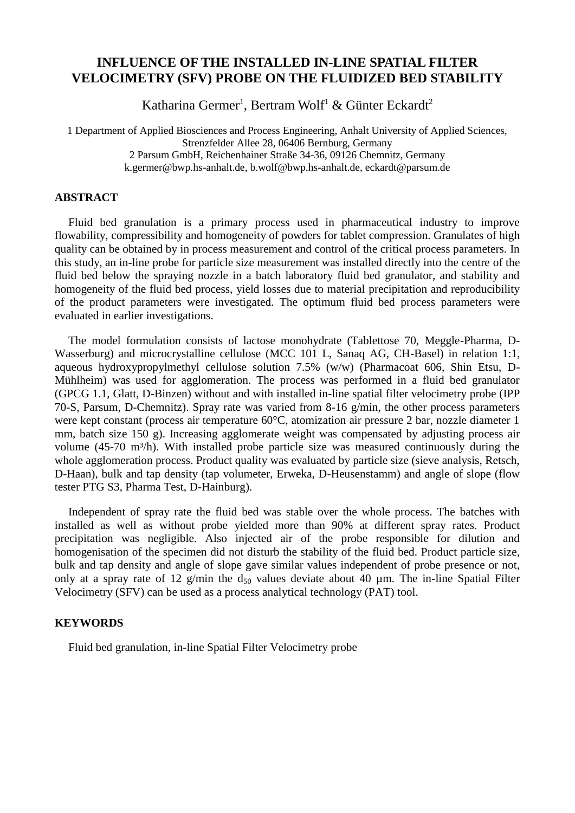# **INFLUENCE OF THE INSTALLED IN-LINE SPATIAL FILTER VELOCIMETRY (SFV) PROBE ON THE FLUIDIZED BED STABILITY**

Katharina Germer<sup>1</sup>, Bertram Wolf<sup>1</sup> & Günter Eckardt<sup>2</sup>

1 Department of Applied Biosciences and Process Engineering, Anhalt University of Applied Sciences, Strenzfelder Allee 28, 06406 Bernburg, Germany 2 Parsum GmbH, Reichenhainer Straße 34-36, 09126 Chemnitz, Germany [k.germer@bwp.hs-anhalt.de,](mailto:k.germer@bwp.hs-anhalt.de) [b.wolf@bwp.hs-anhalt.de,](mailto:b.wolf@bwp.hs-anhalt.de) eckardt@parsum.de

## **ABSTRACT**

Fluid bed granulation is a primary process used in pharmaceutical industry to improve flowability, compressibility and homogeneity of powders for tablet compression. Granulates of high quality can be obtained by in process measurement and control of the critical process parameters. In this study, an in-line probe for particle size measurement was installed directly into the centre of the fluid bed below the spraying nozzle in a batch laboratory fluid bed granulator, and stability and homogeneity of the fluid bed process, yield losses due to material precipitation and reproducibility of the product parameters were investigated. The optimum fluid bed process parameters were evaluated in earlier investigations.

The model formulation consists of lactose monohydrate (Tablettose 70, Meggle-Pharma, D-Wasserburg) and microcrystalline cellulose (MCC 101 L, Sanaq AG, CH-Basel) in relation 1:1, aqueous hydroxypropylmethyl cellulose solution 7.5% (w/w) (Pharmacoat 606, Shin Etsu, D-Mühlheim) was used for agglomeration. The process was performed in a fluid bed granulator (GPCG 1.1, Glatt, D-Binzen) without and with installed in-line spatial filter velocimetry probe (IPP 70-S, Parsum, D-Chemnitz). Spray rate was varied from 8-16 g/min, the other process parameters were kept constant (process air temperature 60°C, atomization air pressure 2 bar, nozzle diameter 1 mm, batch size 150 g). Increasing agglomerate weight was compensated by adjusting process air volume  $(45-70 \text{ m}^3/h)$ . With installed probe particle size was measured continuously during the whole agglomeration process. Product quality was evaluated by particle size (sieve analysis, Retsch, D-Haan), bulk and tap density (tap volumeter, Erweka, D-Heusenstamm) and angle of slope (flow tester PTG S3, Pharma Test, D-Hainburg).

Independent of spray rate the fluid bed was stable over the whole process. The batches with installed as well as without probe yielded more than 90% at different spray rates. Product precipitation was negligible. Also injected air of the probe responsible for dilution and homogenisation of the specimen did not disturb the stability of the fluid bed. Product particle size, bulk and tap density and angle of slope gave similar values independent of probe presence or not, only at a spray rate of 12 g/min the  $d_{50}$  values deviate about 40 µm. The in-line Spatial Filter Velocimetry (SFV) can be used as a process analytical technology (PAT) tool.

## **KEYWORDS**

Fluid bed granulation, in-line Spatial Filter Velocimetry probe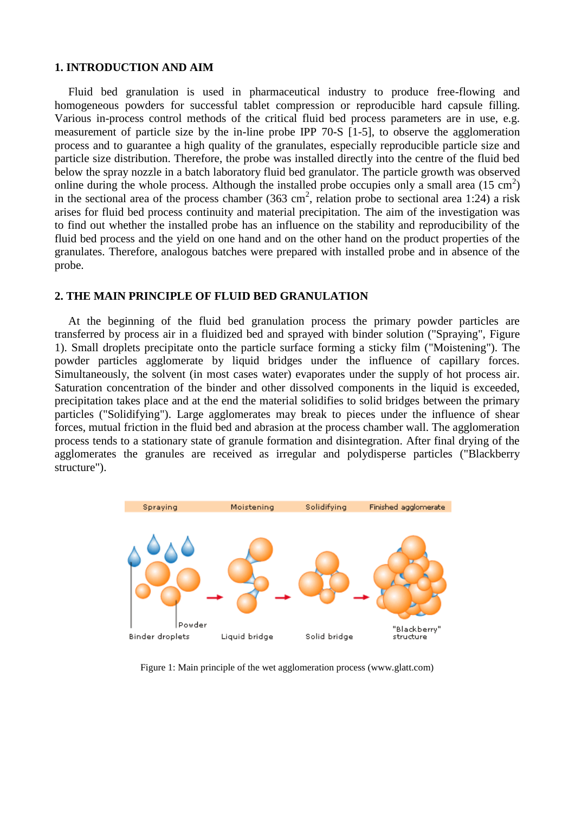#### **1. INTRODUCTION AND AIM**

Fluid bed granulation is used in pharmaceutical industry to produce free-flowing and homogeneous powders for successful tablet compression or reproducible hard capsule filling. Various in-process control methods of the critical fluid bed process parameters are in use, e.g. measurement of particle size by the in-line probe IPP 70-S [1-5], to observe the agglomeration process and to guarantee a high quality of the granulates, especially reproducible particle size and particle size distribution. Therefore, the probe was installed directly into the centre of the fluid bed below the spray nozzle in a batch laboratory fluid bed granulator. The particle growth was observed online during the whole process. Although the installed probe occupies only a small area  $(15 \text{ cm}^2)$ in the sectional area of the process chamber (363 cm<sup>2</sup>, relation probe to sectional area 1:24) a risk arises for fluid bed process continuity and material precipitation. The aim of the investigation was to find out whether the installed probe has an influence on the stability and reproducibility of the fluid bed process and the yield on one hand and on the other hand on the product properties of the granulates. Therefore, analogous batches were prepared with installed probe and in absence of the probe.

#### **2. THE MAIN PRINCIPLE OF FLUID BED GRANULATION**

At the beginning of the fluid bed granulation process the primary powder particles are transferred by process air in a fluidized bed and sprayed with binder solution ("Spraying", Figure 1). Small droplets precipitate onto the particle surface forming a sticky film ("Moistening"). The powder particles agglomerate by liquid bridges under the influence of capillary forces. Simultaneously, the solvent (in most cases water) evaporates under the supply of hot process air. Saturation concentration of the binder and other dissolved components in the liquid is exceeded, precipitation takes place and at the end the material solidifies to solid bridges between the primary particles ("Solidifying"). Large agglomerates may break to pieces under the influence of shear forces, mutual friction in the fluid bed and abrasion at the process chamber wall. The agglomeration process tends to a stationary state of granule formation and disintegration. After final drying of the agglomerates the granules are received as irregular and polydisperse particles ("Blackberry structure").



Figure 1: Main principle of the wet agglomeration process (www.glatt.com)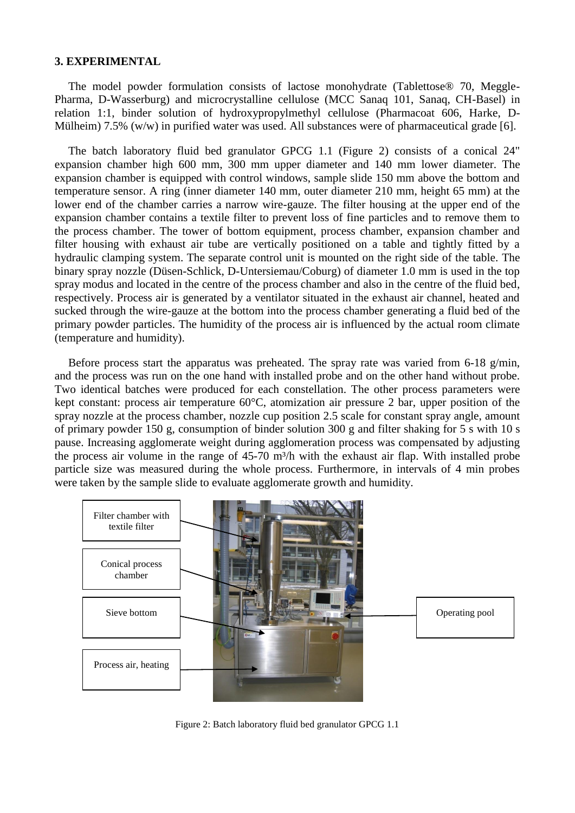#### **3. EXPERIMENTAL**

The model powder formulation consists of lactose monohydrate (Tablettose® 70, Meggle-Pharma, D-Wasserburg) and microcrystalline cellulose (MCC Sanaq 101, Sanaq, CH-Basel) in relation 1:1, binder solution of hydroxypropylmethyl cellulose (Pharmacoat 606, Harke, D-Mülheim) 7.5% (w/w) in purified water was used. All substances were of pharmaceutical grade [6].

The batch laboratory fluid bed granulator GPCG 1.1 (Figure 2) consists of a conical 24" expansion chamber high 600 mm, 300 mm upper diameter and 140 mm lower diameter. The expansion chamber is equipped with control windows, sample slide 150 mm above the bottom and temperature sensor. A ring (inner diameter 140 mm, outer diameter 210 mm, height 65 mm) at the lower end of the chamber carries a narrow wire-gauze. The filter housing at the upper end of the expansion chamber contains a textile filter to prevent loss of fine particles and to remove them to the process chamber. The tower of bottom equipment, process chamber, expansion chamber and filter housing with exhaust air tube are vertically positioned on a table and tightly fitted by a hydraulic clamping system. The separate control unit is mounted on the right side of the table. The binary spray nozzle (Düsen-Schlick, D-Untersiemau/Coburg) of diameter 1.0 mm is used in the top spray modus and located in the centre of the process chamber and also in the centre of the fluid bed, respectively. Process air is generated by a ventilator situated in the exhaust air channel, heated and sucked through the wire-gauze at the bottom into the process chamber generating a fluid bed of the primary powder particles. The humidity of the process air is influenced by the actual room climate (temperature and humidity).

Before process start the apparatus was preheated. The spray rate was varied from 6-18 g/min, and the process was run on the one hand with installed probe and on the other hand without probe. Two identical batches were produced for each constellation. The other process parameters were kept constant: process air temperature 60°C, atomization air pressure 2 bar, upper position of the spray nozzle at the process chamber, nozzle cup position 2.5 scale for constant spray angle, amount of primary powder 150 g, consumption of binder solution 300 g and filter shaking for 5 s with 10 s pause. Increasing agglomerate weight during agglomeration process was compensated by adjusting the process air volume in the range of 45-70 m<sup>3</sup>/h with the exhaust air flap. With installed probe particle size was measured during the whole process. Furthermore, in intervals of 4 min probes were taken by the sample slide to evaluate agglomerate growth and humidity.



Figure 2: Batch laboratory fluid bed granulator GPCG 1.1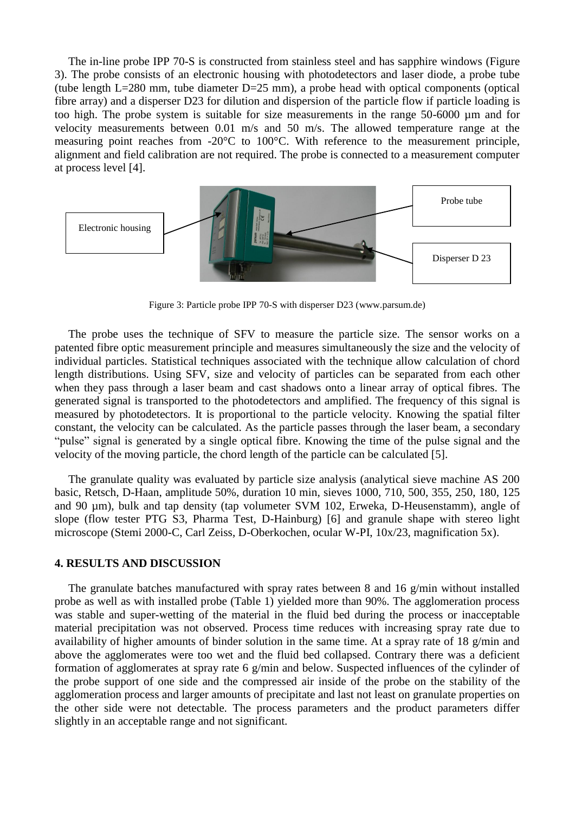The in-line probe IPP 70-S is constructed from stainless steel and has sapphire windows (Figure 3). The probe consists of an electronic housing with photodetectors and laser diode, a probe tube (tube length L=280 mm, tube diameter D=25 mm), a probe head with optical components (optical fibre array) and a disperser D23 for dilution and dispersion of the particle flow if particle loading is too high. The probe system is suitable for size measurements in the range 50-6000 µm and for velocity measurements between 0.01 m/s and 50 m/s. The allowed temperature range at the measuring point reaches from -20°C to 100°C. With reference to the measurement principle, alignment and field calibration are not required. The probe is connected to a measurement computer at process level [4].



Figure 3: Particle probe IPP 70-S with disperser D23 [\(www.parsum.de\)](http://www.parsum.de/)

The probe uses the technique of SFV to measure the particle size. The sensor works on a patented fibre optic measurement principle and measures simultaneously the size and the velocity of individual particles. Statistical techniques associated with the technique allow calculation of chord length distributions. Using SFV, size and velocity of particles can be separated from each other when they pass through a laser beam and cast shadows onto a linear array of optical fibres. The generated signal is transported to the photodetectors and amplified. The frequency of this signal is measured by photodetectors. It is proportional to the particle velocity. Knowing the spatial filter constant, the velocity can be calculated. As the particle passes through the laser beam, a secondary "pulse" signal is generated by a single optical fibre. Knowing the time of the pulse signal and the velocity of the moving particle, the chord length of the particle can be calculated [5].

The granulate quality was evaluated by particle size analysis (analytical sieve machine AS 200 basic, Retsch, D-Haan, amplitude 50%, duration 10 min, sieves 1000, 710, 500, 355, 250, 180, 125 and 90 µm), bulk and tap density (tap volumeter SVM 102, Erweka, D-Heusenstamm), angle of slope (flow tester PTG S3, Pharma Test, D-Hainburg) [6] and granule shape with stereo light microscope (Stemi 2000-C, Carl Zeiss, D-Oberkochen, ocular W-PI, 10x/23, magnification 5x).

## **4. RESULTS AND DISCUSSION**

The granulate batches manufactured with spray rates between 8 and 16 g/min without installed probe as well as with installed probe (Table 1) yielded more than 90%. The agglomeration process was stable and super-wetting of the material in the fluid bed during the process or inacceptable material precipitation was not observed. Process time reduces with increasing spray rate due to availability of higher amounts of binder solution in the same time. At a spray rate of 18 g/min and above the agglomerates were too wet and the fluid bed collapsed. Contrary there was a deficient formation of agglomerates at spray rate 6 g/min and below. Suspected influences of the cylinder of the probe support of one side and the compressed air inside of the probe on the stability of the agglomeration process and larger amounts of precipitate and last not least on granulate properties on the other side were not detectable. The process parameters and the product parameters differ slightly in an acceptable range and not significant.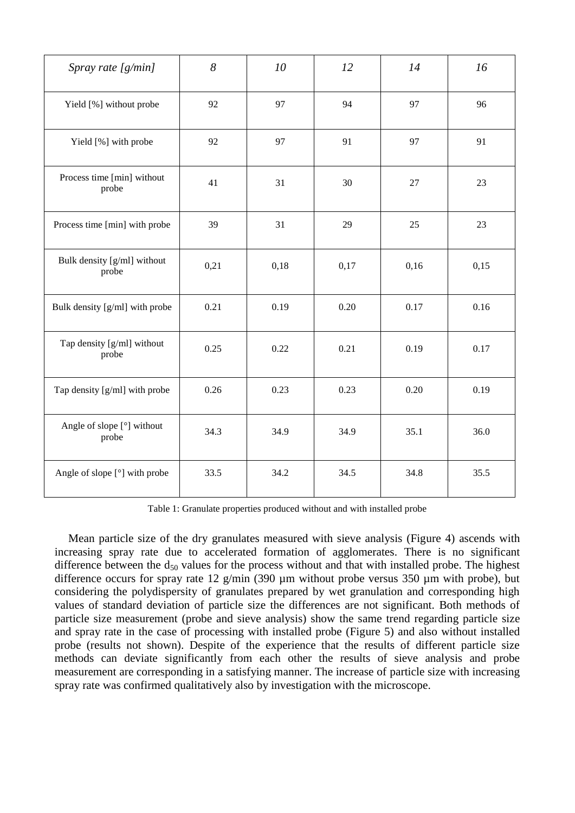| Spray rate [g/min]                   | 8    | 10   | 12   | 14   | 16   |
|--------------------------------------|------|------|------|------|------|
| Yield [%] without probe              | 92   | 97   | 94   | 97   | 96   |
| Yield [%] with probe                 | 92   | 97   | 91   | 97   | 91   |
| Process time [min] without<br>probe  | 41   | 31   | 30   | 27   | 23   |
| Process time [min] with probe        | 39   | 31   | 29   | 25   | 23   |
| Bulk density [g/ml] without<br>probe | 0,21 | 0,18 | 0,17 | 0,16 | 0,15 |
| Bulk density [g/ml] with probe       | 0.21 | 0.19 | 0.20 | 0.17 | 0.16 |
| Tap density [g/ml] without<br>probe  | 0.25 | 0.22 | 0.21 | 0.19 | 0.17 |
| Tap density [g/ml] with probe        | 0.26 | 0.23 | 0.23 | 0.20 | 0.19 |
| Angle of slope [°] without<br>probe  | 34.3 | 34.9 | 34.9 | 35.1 | 36.0 |
| Angle of slope [°] with probe        | 33.5 | 34.2 | 34.5 | 34.8 | 35.5 |

Table 1: Granulate properties produced without and with installed probe

Mean particle size of the dry granulates measured with sieve analysis (Figure 4) ascends with increasing spray rate due to accelerated formation of agglomerates. There is no significant difference between the  $d_{50}$  values for the process without and that with installed probe. The highest difference occurs for spray rate 12 g/min (390 µm without probe versus 350 µm with probe), but considering the polydispersity of granulates prepared by wet granulation and corresponding high values of standard deviation of particle size the differences are not significant. Both methods of particle size measurement (probe and sieve analysis) show the same trend regarding particle size and spray rate in the case of processing with installed probe (Figure 5) and also without installed probe (results not shown). Despite of the experience that the results of different particle size methods can deviate significantly from each other the results of sieve analysis and probe measurement are corresponding in a satisfying manner. The increase of particle size with increasing spray rate was confirmed qualitatively also by investigation with the microscope.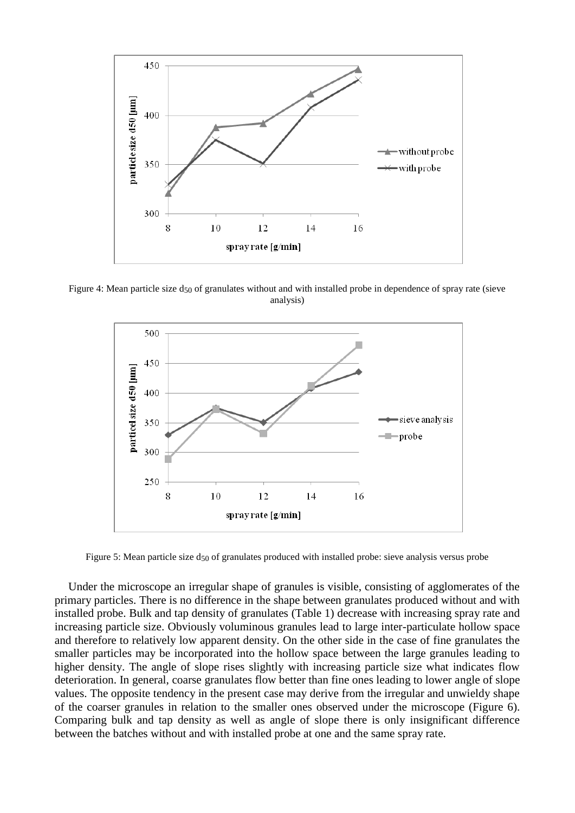

Figure 4: Mean particle size  $d_{50}$  of granulates without and with installed probe in dependence of spray rate (sieve analysis)



Figure 5: Mean particle size  $d_{50}$  of granulates produced with installed probe: sieve analysis versus probe

Under the microscope an irregular shape of granules is visible, consisting of agglomerates of the primary particles. There is no difference in the shape between granulates produced without and with installed probe. Bulk and tap density of granulates (Table 1) decrease with increasing spray rate and increasing particle size. Obviously voluminous granules lead to large inter-particulate hollow space and therefore to relatively low apparent density. On the other side in the case of fine granulates the smaller particles may be incorporated into the hollow space between the large granules leading to higher density. The angle of slope rises slightly with increasing particle size what indicates flow deterioration. In general, coarse granulates flow better than fine ones leading to lower angle of slope values. The opposite tendency in the present case may derive from the irregular and unwieldy shape of the coarser granules in relation to the smaller ones observed under the microscope (Figure 6). Comparing bulk and tap density as well as angle of slope there is only insignificant difference between the batches without and with installed probe at one and the same spray rate.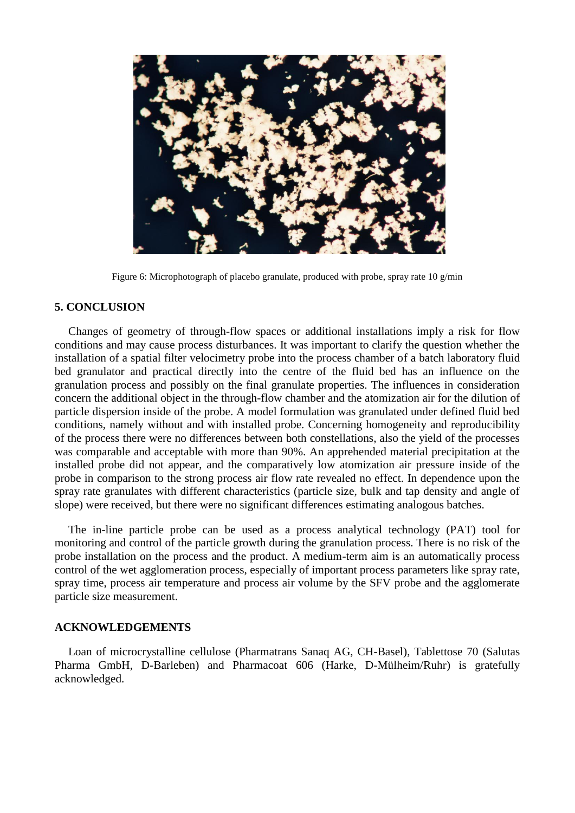

Figure 6: Microphotograph of placebo granulate, produced with probe, spray rate 10 g/min

### **5. CONCLUSION**

Changes of geometry of through-flow spaces or additional installations imply a risk for flow conditions and may cause process disturbances. It was important to clarify the question whether the installation of a spatial filter velocimetry probe into the process chamber of a batch laboratory fluid bed granulator and practical directly into the centre of the fluid bed has an influence on the granulation process and possibly on the final granulate properties. The influences in consideration concern the additional object in the through-flow chamber and the atomization air for the dilution of particle dispersion inside of the probe. A model formulation was granulated under defined fluid bed conditions, namely without and with installed probe. Concerning homogeneity and reproducibility of the process there were no differences between both constellations, also the yield of the processes was comparable and acceptable with more than 90%. An apprehended material precipitation at the installed probe did not appear, and the comparatively low atomization air pressure inside of the probe in comparison to the strong process air flow rate revealed no effect. In dependence upon the spray rate granulates with different characteristics (particle size, bulk and tap density and angle of slope) were received, but there were no significant differences estimating analogous batches.

The in-line particle probe can be used as a process analytical technology (PAT) tool for monitoring and control of the particle growth during the granulation process. There is no risk of the probe installation on the process and the product. A medium-term aim is an automatically process control of the wet agglomeration process, especially of important process parameters like spray rate, spray time, process air temperature and process air volume by the SFV probe and the agglomerate particle size measurement.

#### **ACKNOWLEDGEMENTS**

Loan of microcrystalline cellulose (Pharmatrans Sanaq AG, CH-Basel), Tablettose 70 (Salutas Pharma GmbH, D-Barleben) and Pharmacoat 606 (Harke, D-Mülheim/Ruhr) is gratefully acknowledged.